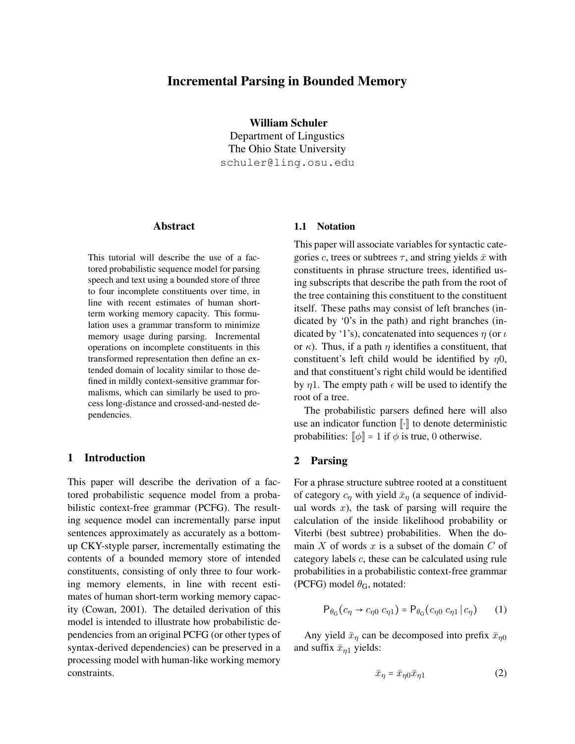# **Incremental Parsing in Bounded Memory**

**William Schuler**

Department of Lingustics The Ohio State University schuler@ling.osu.edu

#### **Abstract**

This tutorial will describe the use of a factored probabilistic sequence model for parsing speech and text using a bounded store of three to four incomplete constituents over time, in line with recent estimates of human shortterm working memory capacity. This formulation uses a grammar transform to minimize memory usage during parsing. Incremental operations on incomplete constituents in this transformed representation then define an extended domain of locality similar to those defined in mildly context-sensitive grammar formalisms, which can similarly be used to process long-distance and crossed-and-nested dependencies.

### **1 Introduction**

This paper will describe the derivation of a factored probabilistic sequence model from a probabilistic context-free grammar (PCFG). The resulting sequence model can incrementally parse input sentences approximately as accurately as a bottomup CKY-styple parser, incrementally estimating the contents of a bounded memory store of intended constituents, consisting of only three to four working memory elements, in line with recent estimates of human short-term working memory capacity (Cowan, 2001). The detailed derivation of this model is intended to illustrate how probabilistic dependencies from an original PCFG (or other types of syntax-derived dependencies) can be preserved in a processing model with human-like working memory constraints.

## **1.1 Notation**

This paper will associate variables for syntactic categories c, trees or subtrees  $\tau$ , and string yields  $\bar{x}$  with constituents in phrase structure trees, identified using subscripts that describe the path from the root of the tree containing this constituent to the constituent itself. These paths may consist of left branches (indicated by '0's in the path) and right branches (indicated by '1's), concatenated into sequences  $\eta$  (or  $\iota$ or  $\kappa$ ). Thus, if a path  $\eta$  identifies a constituent, that constituent's left child would be identified by  $n0$ , and that constituent's right child would be identified by  $\eta$ 1. The empty path  $\epsilon$  will be used to identify the root of a tree.

The probabilistic parsers defined here will also use an indicator function  $\lbrack\cdot\rbrack$  to denote deterministic probabilities:  $\llbracket \phi \rrbracket = 1$  if  $\phi$  is true, 0 otherwise.

### **2 Parsing**

For a phrase structure subtree rooted at a constituent of category  $c_{\eta}$  with yield  $\bar{x}_{\eta}$  (a sequence of individual words  $x$ ), the task of parsing will require the calculation of the inside likelihood probability or Viterbi (best subtree) probabilities. When the domain  $X$  of words  $x$  is a subset of the domain  $C$  of category labels c, these can be calculated using rule probabilities in a probabilistic context-free grammar (PCFG) model  $\theta$ <sub>G</sub>, notated:

$$
P_{\theta_{\rm G}}(c_{\eta} \to c_{\eta 0} \, c_{\eta 1}) = P_{\theta_{\rm G}}(c_{\eta 0} \, c_{\eta 1} \, | \, c_{\eta}) \tag{1}
$$

Any yield  $\bar{x}_n$  can be decomposed into prefix  $\bar{x}_{n0}$ and suffix  $\bar{x}_{n1}$  yields:

$$
\bar{x}_{\eta} = \bar{x}_{\eta 0} \bar{x}_{\eta 1} \tag{2}
$$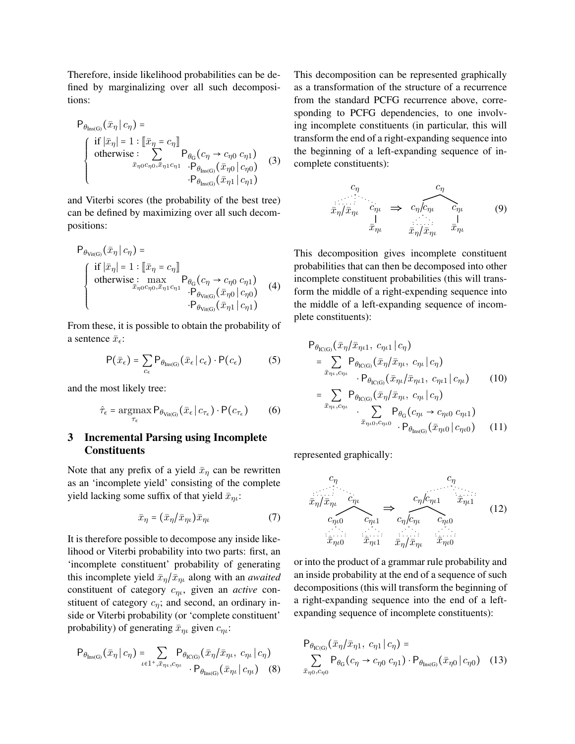Therefore, inside likelihood probabilities can be defined by marginalizing over all such decompositions:

$$
P_{\theta_{\text{Ins}(G)}}(\bar{x}_{\eta} | c_{\eta}) =
$$
\n
$$
\begin{cases}\n\text{if } |\bar{x}_{\eta}| = 1 : [\bar{x}_{\eta} = c_{\eta}] \\
\text{otherwise:} \\
\bar{x}_{\eta^{0} c_{\eta^{0}}, \bar{x}_{\eta^{1} c_{\eta^{1}}}} & P_{\theta_{G}}(c_{\eta} \to c_{\eta^{0}} c_{\eta^{1}}) \\
\bar{x}_{\eta^{0} c_{\eta^{0}}, \bar{x}_{\eta^{1} c_{\eta^{1}}}} & P_{\theta_{\text{Ins}(G)}}(\bar{x}_{\eta^{0}} | c_{\eta^{0}}) \\
P_{\theta_{\text{Ins}(G)}}(\bar{x}_{\eta^{1}} | c_{\eta^{1}})\n\end{cases}
$$
\n(3)

and Viterbi scores (the probability of the best tree) can be defined by maximizing over all such decompositions:

$$
\begin{aligned}\n\mathsf{P}_{\theta_{\text{Vi}(G)}}(\bar{x}_{\eta} \mid c_{\eta}) &= \\
\begin{cases}\n\text{if } |\bar{x}_{\eta}| = 1 : [\![\bar{x}_{\eta} = c_{\eta}]\!] \\
\text{otherwise: } & \max_{\bar{x}_{\eta} \in c_{\eta} \in \bar{x}_{\eta}} \mathsf{P}_{\theta_{G}}(c_{\eta} \to c_{\eta} \in c_{\eta} \mathbf{1}) \\
& \cdot \mathsf{P}_{\theta_{\text{Vi}(G)}}(\bar{x}_{\eta} \in c_{\eta} \mathbf{0}) \\
& \cdot \mathsf{P}_{\theta_{\text{Vi}(G)}}(\bar{x}_{\eta} \mid c_{\eta} \mathbf{1})\n\end{cases} \\
\text{(4)}\n\end{aligned}
$$

From these, it is possible to obtain the probability of a sentence  $\bar{x}_{\epsilon}$ :

$$
P(\bar{x}_{\epsilon}) = \sum_{c_{\epsilon}} P_{\theta_{\text{Ins}(G)}}(\bar{x}_{\epsilon} | c_{\epsilon}) \cdot P(c_{\epsilon}) \tag{5}
$$

and the most likely tree:

$$
\hat{\tau}_{\epsilon} = \operatorname*{argmax}_{\tau_{\epsilon}} P_{\theta_{\text{Vit}(G)}}(\bar{x}_{\epsilon} | c_{\tau_{\epsilon}}) \cdot P(c_{\tau_{\epsilon}})
$$
(6)

# **3 Incremental Parsing using Incomplete Constituents**

Note that any prefix of a yield  $\bar{x}_n$  can be rewritten as an 'incomplete yield' consisting of the complete yield lacking some suffix of that yield  $\bar{x}_{n}$ :

$$
\bar{x}_{\eta} = (\bar{x}_{\eta}/\bar{x}_{\eta\iota})\bar{x}_{\eta\iota} \tag{7}
$$

It is therefore possible to decompose any inside likelihood or Viterbi probability into two parts: first, an 'incomplete constituent' probability of generating this incomplete yield  $\bar{x}_{\eta}/\bar{x}_{\eta\iota}$  along with an *awaited* constituent of category cηι, given an *active* constituent of category  $c_n$ ; and second, an ordinary inside or Viterbi probability (or 'complete constituent' probability) of generating  $\bar{x}_{\eta\iota}$  given  $c_{\eta\iota}$ :

$$
\mathsf{P}_{\theta_{\text{Ins}(G)}}(\bar{x}_{\eta} \,|\, c_{\eta}) = \sum_{\iota \in 1^{+}, \bar{x}_{\eta \iota}, c_{\eta \iota}} \mathsf{P}_{\theta_{\text{IC}(G)}}(\bar{x}_{\eta} \,|\, \bar{x}_{\eta \iota}, \, c_{\eta \iota} \,|\, c_{\eta})
$$
  

$$
\cdot \mathsf{P}_{\theta_{\text{Ins}(G)}}(\bar{x}_{\eta \iota} \,|\, c_{\eta \iota}) \quad (8)
$$

This decomposition can be represented graphically as a transformation of the structure of a recurrence from the standard PCFG recurrence above, corresponding to PCFG dependencies, to one involving incomplete constituents (in particular, this will transform the end of a right-expanding sequence into the beginning of a left-expanding sequence of incomplete constituents):

$$
c_{\eta} c_{\eta} \Rightarrow c_{\eta} / c_{\eta} c_{\eta} c_{\eta} \Rightarrow c_{\eta} / c_{\eta} c_{\eta} c_{\eta} c_{\eta} \tag{9}
$$

This decomposition gives incomplete constituent probabilities that can then be decomposed into other incomplete constituent probabilities (this will transform the middle of a right-expending sequence into the middle of a left-expanding sequence of incomplete constituents):

$$
P_{\theta_{\text{IC(G)}}}(\bar{x}_{\eta}/\bar{x}_{\eta\iota 1}, c_{\eta\iota 1} | c_{\eta})
$$
  
\n
$$
= \sum_{\bar{x}_{\eta\iota}, c_{\eta\iota}} P_{\theta_{\text{IC(G)}}}(\bar{x}_{\eta}/\bar{x}_{\eta\iota}, c_{\eta\iota} | c_{\eta})
$$
  
\n
$$
\cdot P_{\theta_{\text{IC(G)}}}(\bar{x}_{\eta\iota}/\bar{x}_{\eta\iota 1}, c_{\eta\iota 1} | c_{\eta\iota})
$$
(10)

$$
= \sum_{\bar{x}_{\eta\iota},c_{\eta\iota}} P_{\theta_{\text{IC(G)}}}(\bar{x}_{\eta}/\bar{x}_{\eta\iota}, c_{\eta\iota}|c_{\eta})
$$

$$
\cdot \sum_{\bar{x}_{\eta\iota 0},c_{\eta\iota 0}} P_{\theta_{\text{G}}}(c_{\eta\iota} \to c_{\eta\iota 0} c_{\eta\iota 1})
$$

$$
\cdot P_{\theta_{\text{Ins(G)}}}(\bar{x}_{\eta\iota 0}|c_{\eta\iota 0}) \qquad (11)
$$

represented graphically:

$$
c_{\eta} c_{\eta}
$$
\n
$$
\bar{x}_{\eta}/\bar{x}_{\eta\iota} c_{\eta\iota} \longrightarrow c_{\eta}/c_{\eta\iota 1} \bar{x}_{\eta\iota 1}
$$
\n
$$
c_{\eta\iota 0} c_{\eta\iota 1} \longrightarrow c_{\eta}/c_{\eta\iota} c_{\eta\iota 0}
$$
\n
$$
\bar{x}_{\eta\iota 0} \bar{x}_{\eta\iota 1} \bar{x}_{\eta\iota 1} \bar{x}_{\eta\iota 0}
$$
\n(12)

or into the product of a grammar rule probability and an inside probability at the end of a sequence of such decompositions (this will transform the beginning of a right-expanding sequence into the end of a leftexpanding sequence of incomplete constituents):

$$
\mathsf{P}_{\theta_{\mathsf{IC(G)}}}(\bar{x}_{\eta}/\bar{x}_{\eta 1},\,c_{\eta 1}\,|\,c_{\eta}) = \sum_{\bar{x}_{\eta 0},c_{\eta 0}} \mathsf{P}_{\theta_{\mathsf{G}}}(c_{\eta} \to c_{\eta 0}\,c_{\eta 1}) \cdot \mathsf{P}_{\theta_{\mathsf{Ins(G)}}}(\bar{x}_{\eta 0}\,|\,c_{\eta 0}) \quad (13)
$$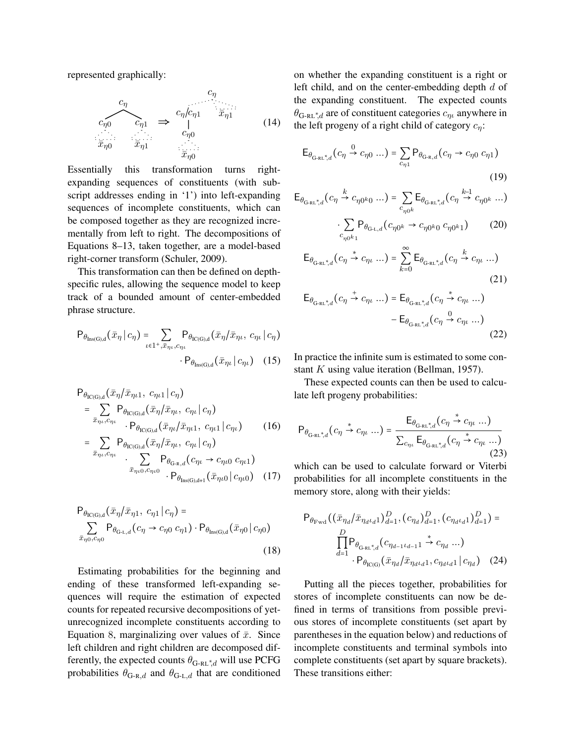represented graphically:

$$
c_{\eta} c_{\eta} \rightarrow c_{\eta} 1 \rightarrow c_{\eta} c_{\eta} \rightarrow c_{\eta} 1 \rightarrow c_{\eta} 1
$$
\n
$$
\overrightarrow{x}_{\eta 0} \overrightarrow{x}_{\eta 1} \rightarrow c_{\eta 0} \overrightarrow{x}_{\eta 0}
$$
\n
$$
(14)
$$

Essentially this transformation turns rightexpanding sequences of constituents (with subscript addresses ending in '1') into left-expanding sequences of incomplete constituents, which can be composed together as they are recognized incrementally from left to right. The decompositions of Equations 8–13, taken together, are a model-based right-corner transform (Schuler, 2009).

This transformation can then be defined on depthspecific rules, allowing the sequence model to keep track of a bounded amount of center-embedded phrase structure.

$$
P_{\theta_{\text{Ins}(G),d}}(\bar{x}_{\eta} | c_{\eta}) = \sum_{\iota \in 1^{+}, \bar{x}_{\eta\iota}, c_{\eta\iota}} P_{\theta_{\text{IC}(G),d}}(\bar{x}_{\eta}/\bar{x}_{\eta\iota}, c_{\eta\iota} | c_{\eta})
$$

$$
\cdot P_{\theta_{\text{Ins}(G),d}}(\bar{x}_{\eta\iota} | c_{\eta\iota}) \quad (15)
$$

$$
P_{\theta_{\text{IC(G)},d}}(\bar{x}_{\eta}/\bar{x}_{\eta\iota 1}, c_{\eta\iota 1} | c_{\eta})
$$
  
= 
$$
\sum_{\bar{x}_{\eta\iota}, c_{\eta\iota}} P_{\theta_{\text{IC(G)},d}}(\bar{x}_{\eta}/\bar{x}_{\eta\iota}, c_{\eta\iota} | c_{\eta})
$$
  
- 
$$
P_{\theta_{\text{IC(G)},d}}(\bar{x}_{\eta\iota}/\bar{x}_{\eta\iota 1}, c_{\eta\iota 1} | c_{\eta\iota})
$$
(16)

$$
= \sum_{\bar{x}_{\eta\iota}, c_{\eta\iota}} P_{\theta_{\text{IC}(G),d}}(\bar{x}_{\eta}/\bar{x}_{\eta\iota}, c_{\eta\iota} | c_{\eta})
$$

$$
\sum_{\bar{x}_{\eta\iota 0}, c_{\eta\iota 0}} P_{\theta_{\text{G-R},d}}(c_{\eta\iota} \to c_{\eta\iota 0} c_{\eta\iota 1})
$$

$$
\cdot P_{\theta_{\text{Ins}(G),d+1}}(\bar{x}_{\eta\iota 0} | c_{\eta\iota 0}) \quad (17)
$$

$$
P_{\theta_{\text{IC(G)},d}}(\bar{x}_{\eta}/\bar{x}_{\eta 1}, c_{\eta 1} | c_{\eta}) = \sum_{\bar{x}_{\eta 0}, c_{\eta 0}} P_{\theta_{\text{G-L},d}}(c_{\eta} \to c_{\eta 0} c_{\eta 1}) \cdot P_{\theta_{\text{Ins(G)},d}}(\bar{x}_{\eta 0} | c_{\eta 0})
$$
\n(18)

Estimating probabilities for the beginning and ending of these transformed left-expanding sequences will require the estimation of expected counts for repeated recursive decompositions of yetunrecognized incomplete constituents according to Equation 8, marginalizing over values of  $\bar{x}$ . Since left children and right children are decomposed differently, the expected counts  $\theta_{\text{G-RL}^*\text{d}}$  will use PCFG probabilities  $\theta_{\text{G-R},d}$  and  $\theta_{\text{G-L},d}$  that are conditioned

on whether the expanding constituent is a right or left child, and on the center-embedding depth d of the expanding constituent. The expected counts  $\theta_{\text{G-RL}^*,d}$  are of constituent categories  $c_{\eta\iota}$  anywhere in the left progeny of a right child of category  $c_n$ :

$$
\mathsf{E}_{\theta_{\mathsf{G}\text{-}\mathrm{R}\mathsf{L}^*,d}}(c_{\eta} \xrightarrow{0} c_{\eta 0} \dots) = \sum_{c_{\eta 1}} \mathsf{P}_{\theta_{\mathsf{G}\text{-}\mathrm{R},d}}(c_{\eta} \to c_{\eta 0} \ c_{\eta 1})
$$
\n(19)

$$
E_{\theta_{\text{G-RL}^*,d}}(c_{\eta} \xrightarrow{k} c_{\eta 0^k 0} ... ) = \sum_{c_{\eta 0^k}} E_{\theta_{\text{G-RL}^*,d}}(c_{\eta} \xrightarrow{k-1} c_{\eta 0^k} ...)
$$

$$
\sum_{c_{\eta 0^k 1}} P_{\theta_{\text{G-L},d}}(c_{\eta 0^k} \to c_{\eta 0^k 0} c_{\eta 0^k 1})
$$
(20)

$$
\mathsf{E}_{\theta_{\mathsf{G}\text{-}\mathrm{RL}^*,d}}(c_{\eta} \stackrel{*}{\to} c_{\eta\iota} \dots) = \sum_{k=0}^{\infty} \mathsf{E}_{\theta_{\mathsf{G}\text{-}\mathrm{RL}^*,d}}(c_{\eta} \stackrel{k}{\to} c_{\eta\iota} \dots)
$$
(21)

$$
\mathsf{E}_{\theta_{\mathsf{G}\text{-RL}^*,d}}(c_{\eta} \xrightarrow{+} c_{\eta\iota} \dots) = \mathsf{E}_{\theta_{\mathsf{G}\text{-RL}^*,d}}(c_{\eta} \xrightarrow{*} c_{\eta\iota} \dots) \n- \mathsf{E}_{\theta_{\mathsf{G}\text{-RL}^*,d}}(c_{\eta} \xrightarrow{0} c_{\eta\iota} \dots)
$$
\n(22)

In practice the infinite sum is estimated to some constant K using value iteration (Bellman, 1957).

These expected counts can then be used to calculate left progeny probabilities:

$$
\mathsf{P}_{\theta_{\mathsf{G}\text{-RL}^*,d}}(c_{\eta} \stackrel{*}{\to} c_{\eta\iota} \dots) = \frac{\mathsf{E}_{\theta_{\mathsf{G}\text{-RL}^*,d}}(c_{\eta} \stackrel{*}{\to} c_{\eta\iota} \dots)}{\sum_{c_{\eta\iota}} \mathsf{E}_{\theta_{\mathsf{G}\text{-RL}^*,d}}(c_{\eta} \stackrel{*}{\to} c_{\eta\iota} \dots)}
$$
(23)

which can be used to calculate forward or Viterbi probabilities for all incomplete constituents in the memory store, along with their yields:

$$
P_{\theta_{\text{Fwd}}}((\bar{x}_{\eta_d}/\bar{x}_{\eta_d t_d1})_{d=1}^D, (c_{\eta_d})_{d=1}^D, (c_{\eta_d t_d1})_{d=1}^D) = \prod_{d=1}^D P_{\theta_{\text{G-RL}^*,d}}(c_{\eta_{d-1} t_{d-1}1} \stackrel{*}{\rightarrow} c_{\eta_d} \dots) \cdot P_{\theta_{\text{IC(G)}}(\bar{x}_{\eta_d}/\bar{x}_{\eta_d t_d1}, c_{\eta_d t_d1} | c_{\eta_d})}
$$
(24)

Putting all the pieces together, probabilities for stores of incomplete constituents can now be defined in terms of transitions from possible previous stores of incomplete constituents (set apart by parentheses in the equation below) and reductions of incomplete constituents and terminal symbols into complete constituents (set apart by square brackets). These transitions either: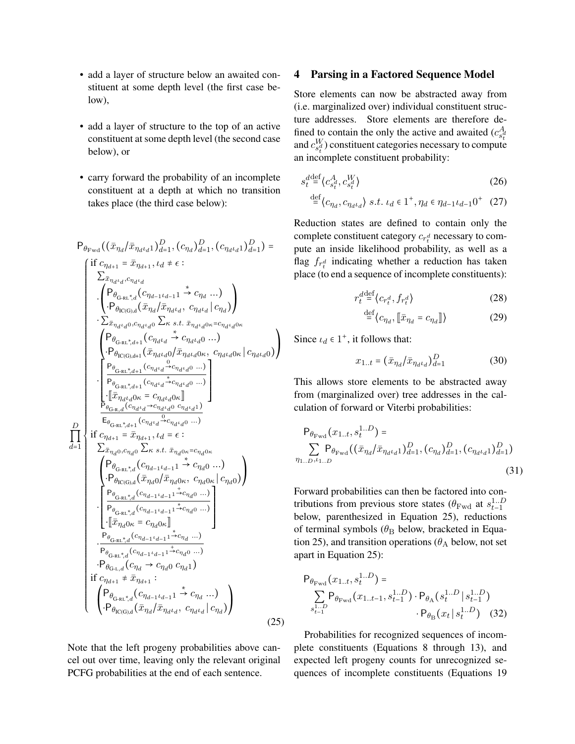- add a layer of structure below an awaited constituent at some depth level (the first case below),
- add a layer of structure to the top of an active constituent at some depth level (the second case below), or
- carry forward the probability of an incomplete constituent at a depth at which no transition takes place (the third case below):

$$
P_{\theta_{\text{Fwd}}}((\bar{x}_{\eta_d/x_{\eta_{d+1}}})_{d=1}^D, (c_{\eta_d})_{d=1}^D, (c_{\eta_d t_{d}}))_{d=1}^D) =
$$
\n
$$
\begin{pmatrix}\n\text{if } c_{\eta_{d+1}} = \bar{x}_{\eta_{d+1}}, t_d \neq \epsilon : \\
\sum_{x_{\eta_d t_{d}}, c_{\eta_d t_{d}} \\
\cdot \left( P_{\theta_{\text{G-K}}, t}^{\theta_{\text{G-K}}, d} (c_{\eta_{d-1} t_{d-1}} \xrightarrow{\star} c_{\eta_d} \dots) \right) \\
\cdot \sum_{\bar{x}_{\eta_d t_{d}}, 0} (c_{\eta_d / \bar{x}_{\eta_d t_{d}}, c_{\eta_d t_{d}} | c_{\eta_d})\n\end{pmatrix}
$$
\n
$$
\begin{pmatrix}\n\sum_{\bar{x}_{\eta_d t_{d}}, 0} (c_{\eta_d / \bar{x}_{\eta_d t_{d}}, c_{\eta_d t_{d}} | c_{\eta_d}) \\
\cdot \sum_{\bar{x}_{\eta_d t_{d}}, 0} (c_{\eta_d t_{d}}, c_{\eta_d t_{d}}, c_{\eta_d t_{d}}) \\
\cdot \sum_{\eta_{\theta_{\text{G-K}}, t, d+1}} (c_{\eta_d t_{d}}, c_{\eta_d t_{d}, 0}, c_{\eta_d t_{d}, 0})\n\end{pmatrix}
$$
\n
$$
\begin{pmatrix}\nP_{\theta_{\text{G-K}}, t, d+1}}(c_{\eta_d t_{d}}, c_{\eta_d t_{d}, 0} \dots) \\
\cdot P_{\theta_{\text{G-K}}, t, d+1}}(c_{\eta_d t_{d}}, c_{\eta_d t_{d}, 0} \dots) \\
\cdot \left[ P_{\theta_{\text{G-K}}, t, d+1}}(c_{\eta_d t_{d}}, c_{\eta_d t_{d}, 0} \dots) \right]\n\end{pmatrix}
$$
\n
$$
\begin{pmatrix}\nP_{\theta_{\text{G-K}}, t, d+1}}(c_{\eta_d t_{d}}, c_{\eta_d t_{d}, 0} \dots) \\
\cdot P_{\theta_{\text{G-K}}, t, d+1}}(c_{\eta_d t_{d}}, c_{\eta_d t_{d}, 0} \dots) \\
\cdot P_{\theta_{\text{G-K}}, t, d}}(c_{\eta_{d-1} t_{d-1}}, c_{\eta_d t_{d}, 0})\
$$

Note that the left progeny probabilities above cancel out over time, leaving only the relevant original PCFG probabilities at the end of each sentence.

### **4 Parsing in a Factored Sequence Model**

Store elements can now be abstracted away from (i.e. marginalized over) individual constituent structure addresses. Store elements are therefore defined to contain the only the active and awaited  $(c_{s_t}^{A_d})$ and  $c_{s_t}^{W_d}$ ) constituent categories necessary to compute an incomplete constituent probability:

$$
s_t^{d \text{def}} \{c_{s_t^d}^A, c_{s_t^d}^W\}
$$
\n
$$
\stackrel{\text{def}}{=} \{c_{\eta_d}, c_{\eta_d t_d}\} \ s.t. \ \iota_d \in 1^+, \eta_d \in \eta_{d-1} t_{d-1} 0^+ \tag{27}
$$

Reduction states are defined to contain only the complete constituent category  $c_{r_t^d}$  necessary to compute an inside likelihood probability, as well as a flag  $f_{r_t^d}$  indicating whether a reduction has taken place (to end a sequence of incomplete constituents):

$$
r_t^{d \text{def}}(c_{r_t^d}, f_{r_t^d})
$$
 (28)

$$
\stackrel{\text{def}}{=} \langle c_{\eta_d}, [\![\bar{x}_{\eta_d} = c_{\eta_d}]\!]\rangle \tag{29}
$$

Since  $\iota_d \in 1^+$ , it follows that:

$$
x_{1..t} = \left(\bar{x}_{\eta_d}/\bar{x}_{\eta_d t_d}\right)_{d=1}^D
$$
 (30)

This allows store elements to be abstracted away from (marginalized over) tree addresses in the calculation of forward or Viterbi probabilities:

$$
P_{\theta_{\text{Fwd}}}(x_{1..t}, s_t^{1..D}) = \sum_{\eta_{1..D}, \iota_{1..D}} P_{\theta_{\text{Fwd}}}((\bar{x}_{\eta_d}/\bar{x}_{\eta_{d} \iota_d 1})_{d=1}^D, (c_{\eta_d})_{d=1}^D, (c_{\eta_{d} \iota_d 1})_{d=1}^D)
$$
\n(31)

Forward probabilities can then be factored into contributions from previous store states ( $\theta_{\text{Fwd}}$  at  $s_{t-1}^{1...D}$ below, parenthesized in Equation 25), reductions of terminal symbols ( $\theta_B$  below, bracketed in Equation 25), and transition operations ( $\theta_A$  below, not set apart in Equation 25):

$$
P_{\theta_{\text{Fwd}}}(x_{1..t}, s_t^{1..D}) = \sum_{\substack{s_1...s_{t-1} \ s_{t-1}}} P_{\theta_{\text{Fwd}}}(x_{1..t-1}, s_{t-1}^{1..D}) \cdot P_{\theta_A}(s_t^{1..D} | s_{t-1}^{1..D})
$$

$$
\cdot P_{\theta_B}(x_t | s_t^{1..D}) \quad (32)
$$

Probabilities for recognized sequences of incomplete constituents (Equations 8 through 13), and expected left progeny counts for unrecognized sequences of incomplete constituents (Equations 19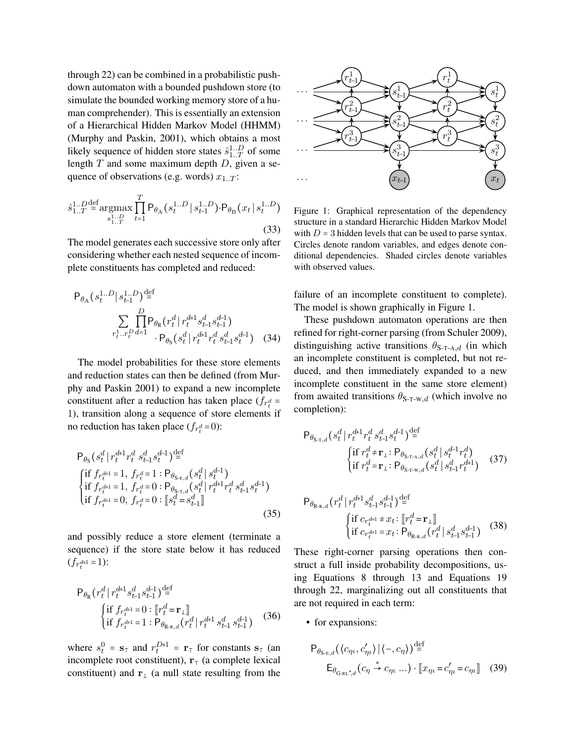through 22) can be combined in a probabilistic pushdown automaton with a bounded pushdown store (to simulate the bounded working memory store of a human comprehender). This is essentially an extension of a Hierarchical Hidden Markov Model (HHMM) (Murphy and Paskin, 2001), which obtains a most likely sequence of hidden store states  $\hat{s}_{1..T}^{1..D}$  of some length  $T$  and some maximum depth  $D$ , given a sequence of observations (e.g. words)  $x_{1,T}$ :

$$
\hat{s}_{1..T}^{1..D \text{def}} = \underset{s_{1..T}^{1..D}}{\text{argmax}} \prod_{t=1}^{T} \mathsf{P}_{\theta_{\text{A}}}(s_t^{1..D} \, | \, s_{t\!-\!1}^{1..D}) \cdot \mathsf{P}_{\theta_{\text{B}}}(x_t \, | \, s_t^{1..D}) \tag{33}
$$

The model generates each successive store only after considering whether each nested sequence of incomplete constituents has completed and reduced:

$$
P_{\theta_{A}}(s_{t}^{1..D}|s_{t-1}^{1..D}) \stackrel{\text{def}}{=} \sum_{r_{t}^{1..r_{t}^{D}} d=1} \prod_{r \neq s}^{D} P_{\theta_{R}}(r_{t}^{d}|r_{t}^{d+1}s_{t-1}^{d} s_{t-1}^{d-1}) \cdot P_{\theta_{S}}(s_{t}^{d}|r_{t}^{d+1}r_{t}^{d}s_{t-1}^{d}s_{t}^{d-1}) \quad (34)
$$

The model probabilities for these store elements and reduction states can then be defined (from Murphy and Paskin 2001) to expand a new incomplete constituent after a reduction has taken place  $(f_{r_t^d})$ 1), transition along a sequence of store elements if no reduction has taken place  $(f_{r_t^d}=0)$ :

$$
P_{\theta_{\rm S}}(s_t^d | r_t^{d+1} r_t^d s_{t-1}^d s_t^{d-1}) \stackrel{\text{def}}{=} \n\begin{cases}\n\int_{t}^d f_r^{d+1} = 1, & f_r^d = 1 : P_{\theta_{\rm S-E,d}}(s_t^d | s_t^{d-1}) \\
\int_{t}^d f_r^{d+1} = 1, & f_r^d = 0 : P_{\theta_{\rm S-T,d}}(s_t^d | r_t^{d+1} r_t^d s_{t-1}^d s_t^{d-1}) \\
\int_{t}^d f_r^{d+1} = 0, & f_r^d = 0 : \llbracket s_t^d = s_{t-1}^d \rrbracket\n\end{cases} \tag{35}
$$

and possibly reduce a store element (terminate a sequence) if the store state below it has reduced  $(f_{r_t^{d+1}} = 1):$ 

$$
P_{\theta_{R}}(r_{t}^{d} | r_{t}^{d+1} s_{t-1}^{d} s_{t-1}^{d-1}) \stackrel{\text{def}}{=} \left\{ \begin{aligned} &\text{if } f_{r_{t}^{d+1}} = 0 : \left[ r_{t}^{d} = \mathbf{r}_{\perp} \right] \\ &\text{if } f_{r_{t}^{d+1}} = 1 : P_{\theta_{R\cdot R,d}}(r_{t}^{d} | r_{t}^{d+1} s_{t-1}^{d} s_{t-1}^{d-1}) \end{aligned} \right. (36)
$$

where  $s_t^0 = \mathbf{s}_T$  and  $r_t^{D+1} = \mathbf{r}_T$  for constants  $\mathbf{s}_T$  (an incomplete root constituent),  $\mathbf{r}$ <sub>⊤</sub> (a complete lexical constituent) and  $\mathbf{r}_{\perp}$  (a null state resulting from the



Figure 1: Graphical representation of the dependency structure in a standard Hierarchic Hidden Markov Model with  $D = 3$  hidden levels that can be used to parse syntax. Circles denote random variables, and edges denote conditional dependencies. Shaded circles denote variables with observed values.

failure of an incomplete constituent to complete). The model is shown graphically in Figure 1.

These pushdown automaton operations are then refined for right-corner parsing (from Schuler 2009), distinguishing active transitions  $\theta_{S-T-A,d}$  (in which an incomplete constituent is completed, but not reduced, and then immediately expanded to a new incomplete constituent in the same store element) from awaited transitions  $\theta_{S-T-W,d}$  (which involve no completion):

$$
P_{\theta_{S\cdot T,d}}(s_t^d | r_t^{d+1} r_t^d s_{t-1}^d s_t^{d-1}) \stackrel{\text{def}}{=} \n\begin{cases}\n\text{if } r_t^d \neq r_\perp : P_{\theta_{S\cdot T\cdot A,d}}(s_t^d | s_t^{d-1} r_t^d) \\
\text{if } r_t^d = r_\perp : P_{\theta_{S\cdot T\cdot M,d}}(s_t^d | s_{t-1}^d r_t^{d+1})\n\end{cases} \n\tag{37}
$$

$$
\mathsf{P}_{\theta_{\mathsf{R}\text{-}\mathsf{R},d}}(r_t^d | r_t^{d+1} s_{t-1}^d s_{t-1}^{d-1}) \stackrel{\text{def}}{=} \left\{ \begin{aligned} &\text{if } c_{r_t^{d+1}} \neq x_t : \left[ r_t^d = \mathbf{r}_\perp \right] \\ &\text{if } c_{r_t^{d+1}} = x_t : \mathsf{P}_{\theta_{\mathsf{R}\text{-}\mathsf{R},d}}(r_t^d | s_{t-1}^d s_{t-1}^{d-1}) \end{aligned} \right. \tag{38}
$$

These right-corner parsing operations then construct a full inside probability decompositions, using Equations 8 through 13 and Equations 19 through 22, marginalizing out all constituents that are not required in each term:

• for expansions:

$$
P_{\theta_{\text{S-E},d}}(\langle c_{\eta\iota}, c'_{\eta\iota} \rangle | \langle -, c_{\eta} \rangle) \stackrel{\text{def}}{=} \nE_{\theta_{\text{G-RL}^*,d}}(c_{\eta} \stackrel{*}{\rightarrow} c_{\eta\iota} \dots) \cdot [x_{\eta\iota} = c'_{\eta\iota} = c_{\eta\iota}]
$$
\n(39)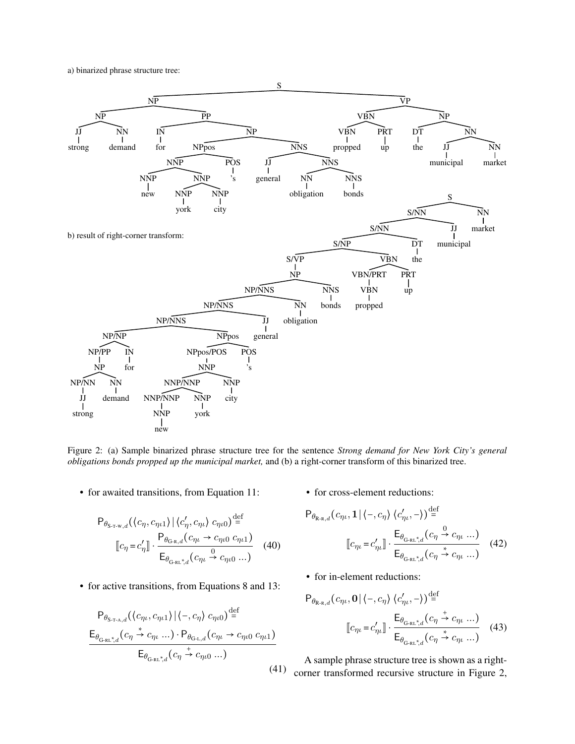

Figure 2: (a) Sample binarized phrase structure tree for the sentence *Strong demand for New York City's general obligations bonds propped up the municipal market,* and (b) a right-corner transform of this binarized tree.

• for awaited transitions, from Equation 11:

$$
P_{\theta_{S-T-W,d}}(\langle c_{\eta}, c_{\eta\iota 1}\rangle | \langle c'_{\eta}, c_{\eta\iota} \rangle c_{\eta\iota 0} )^{\text{def}} =
$$
  

$$
[c_{\eta} = c'_{\eta}] \cdot \frac{P_{\theta_{G-R,d}}(c_{\eta\iota} \to c_{\eta\iota 0} c_{\eta\iota 1})}{E_{\theta_{G-RL^*,d}}(c_{\eta\iota} \to c_{\eta\iota 0} ...)}
$$
 (40)

• for active transitions, from Equations 8 and 13:

$$
P_{\theta_{S\text{-}T\text{-}A,d}}(\langle c_{\eta\iota}, c_{\eta\iota 1}\rangle | \langle -, c_{\eta} \rangle c_{\eta\iota 0})^{\text{def}} =
$$
  

$$
\frac{\mathsf{E}_{\theta_{G\text{-}RL}^*,d}(c_{\eta} \stackrel{*}{\to} c_{\eta\iota} \dots) \cdot \mathsf{P}_{\theta_{G\text{-}L,d}}(c_{\eta\iota} \to c_{\eta\iota 0} c_{\eta\iota 1})}{\mathsf{E}_{\theta_{G\text{-}RL}^*,d}(c_{\eta} \stackrel{*}{\to} c_{\eta\iota 0} \dots)}
$$

• for cross-element reductions:

$$
P_{\theta_{\text{R-R},d}}(c_{\eta\iota}, \mathbf{1} | \langle -, c_{\eta} \rangle \langle c'_{\eta\iota}, - \rangle) \stackrel{\text{def}}{=}
$$

$$
[c_{\eta\iota} = c'_{\eta\iota}] \cdot \frac{\mathsf{E}_{\theta_{\text{G-RL}^*,d}}(c_{\eta} \stackrel{0}{\rightarrow} c_{\eta\iota} \dots)}{\mathsf{E}_{\theta_{\text{G-RL}^*,d}}(c_{\eta} \stackrel{0}{\rightarrow} c_{\eta\iota} \dots)} \quad (42)
$$

• for in-element reductions:

$$
P_{\theta_{\mathbf{R}\cdot\mathbf{R},d}}(c_{\eta\iota},\mathbf{0}|\langle-,c_{\eta}\rangle\langle c'_{\eta\iota},-\rangle)^{\text{def}} =
$$

$$
[[c_{\eta\iota}=c'_{\eta\iota}]] \cdot \frac{\mathsf{E}_{\theta_{\mathbf{G}\cdot\mathbf{R}\cdot\mathbf{R},d}}(c_{\eta} \stackrel{+}{\rightarrow} c_{\eta\iota}...)}{\mathsf{E}_{\theta_{\mathbf{G}\cdot\mathbf{R}\cdot\mathbf{R},d}}(c_{\eta} \stackrel{+}{\rightarrow} c_{\eta\iota}...)} \quad (43)
$$

(41) corner transformed recursive structure in Figure 2,A sample phrase structure tree is shown as a right-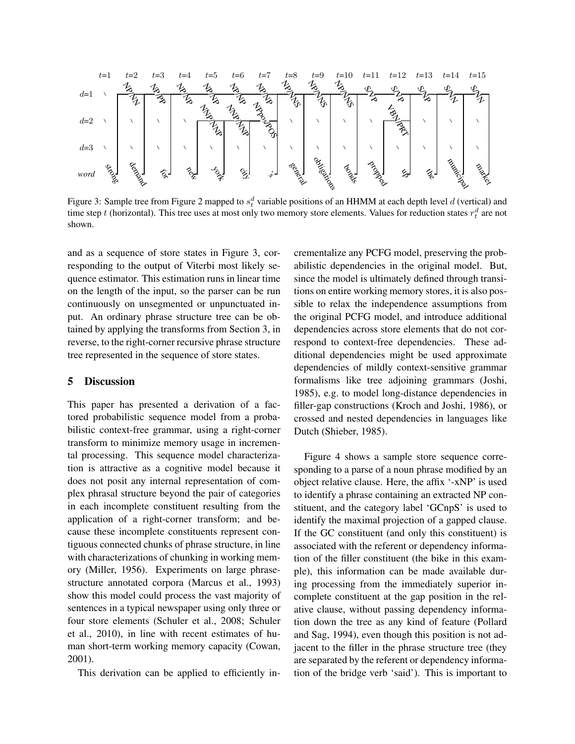

Figure 3: Sample tree from Figure 2 mapped to  $s_t^d$  variable positions of an HHMM at each depth level  $d$  (vertical) and time step t (horizontal). This tree uses at most only two memory store elements. Values for reduction states  $r_t^d$  are not shown.

and as a sequence of store states in Figure 3, corresponding to the output of Viterbi most likely sequence estimator. This estimation runs in linear time on the length of the input, so the parser can be run continuously on unsegmented or unpunctuated input. An ordinary phrase structure tree can be obtained by applying the transforms from Section 3, in reverse, to the right-corner recursive phrase structure tree represented in the sequence of store states.

#### **5 Discussion**

This paper has presented a derivation of a factored probabilistic sequence model from a probabilistic context-free grammar, using a right-corner transform to minimize memory usage in incremental processing. This sequence model characterization is attractive as a cognitive model because it does not posit any internal representation of complex phrasal structure beyond the pair of categories in each incomplete constituent resulting from the application of a right-corner transform; and because these incomplete constituents represent contiguous connected chunks of phrase structure, in line with characterizations of chunking in working memory (Miller, 1956). Experiments on large phrasestructure annotated corpora (Marcus et al., 1993) show this model could process the vast majority of sentences in a typical newspaper using only three or four store elements (Schuler et al., 2008; Schuler et al., 2010), in line with recent estimates of human short-term working memory capacity (Cowan, 2001).

This derivation can be applied to efficiently in-

crementalize any PCFG model, preserving the probabilistic dependencies in the original model. But, since the model is ultimately defined through transitions on entire working memory stores, it is also possible to relax the independence assumptions from the original PCFG model, and introduce additional dependencies across store elements that do not correspond to context-free dependencies. These additional dependencies might be used approximate dependencies of mildly context-sensitive grammar formalisms like tree adjoining grammars (Joshi, 1985), e.g. to model long-distance dependencies in filler-gap constructions (Kroch and Joshi, 1986), or crossed and nested dependencies in languages like Dutch (Shieber, 1985).

Figure 4 shows a sample store sequence corresponding to a parse of a noun phrase modified by an object relative clause. Here, the affix '-xNP' is used to identify a phrase containing an extracted NP constituent, and the category label 'GCnpS' is used to identify the maximal projection of a gapped clause. If the GC constituent (and only this constituent) is associated with the referent or dependency information of the filler constituent (the bike in this example), this information can be made available during processing from the immediately superior incomplete constituent at the gap position in the relative clause, without passing dependency information down the tree as any kind of feature (Pollard and Sag, 1994), even though this position is not adjacent to the filler in the phrase structure tree (they are separated by the referent or dependency information of the bridge verb 'said'). This is important to